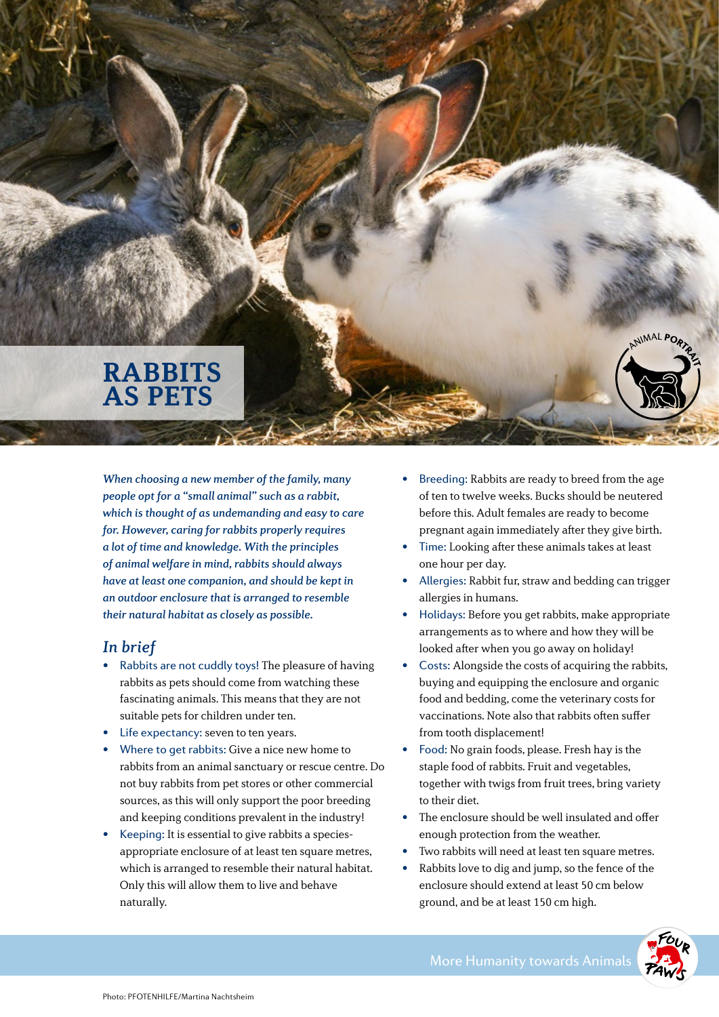## **RABBITS AS PETS**

When choosing a new member of the family, many people opt for a "small animal" such as a rabbit, which is thought of as undemanding and easy to care for. However, caring for rabbits properly requires a lot of time and knowledge. With the principles of animal welfare in mind, rabbits should always have at least one companion, and should be kept in an outdoor enclosure that is arranged to resemble their natural habitat as closely as possible.

## In brief

- Rabbits are not cuddly toys! The pleasure of having rabbits as pets should come from watching these fascinating animals. This means that they are not suitable pets for children under ten.
- Life expectancy: seven to ten years.
- Where to get rabbits: Give a nice new home to rabbits from an animal sanctuary or rescue centre. Do not buy rabbits from pet stores or other commercial sources, as this will only support the poor breeding and keeping conditions prevalent in the industry!
- Keeping: It is essential to give rabbits a speciesappropriate enclosure of at least ten square metres, which is arranged to resemble their natural habitat. Only this will allow them to live and behave naturally.
- Breeding: Rabbits are ready to breed from the age of ten to twelve weeks. Bucks should be neutered before this. Adult females are ready to become pregnant again immediately after they give birth.
- Time: Looking after these animals takes at least one hour per day.
- Allergies: Rabbit fur, straw and bedding can trigger allergies in humans.
- Holidays: Before you get rabbits, make appropriate arrangements as to where and how they will be looked after when you go away on holiday!
- Costs: Alongside the costs of acquiring the rabbits, buying and equipping the enclosure and organic food and bedding, come the veterinary costs for vaccinations. Note also that rabbits often suffer from tooth displacement!
- Food: No grain foods, please. Fresh hay is the staple food of rabbits. Fruit and vegetables, together with twigs from fruit trees, bring variety to their diet.
- The enclosure should be well insulated and offer enough protection from the weather.
- Two rabbits will need at least ten square metres.
- Rabbits love to dig and jump, so the fence of the enclosure should extend at least 50 cm below ground, and be at least 150 cm high.

NIMAL PO